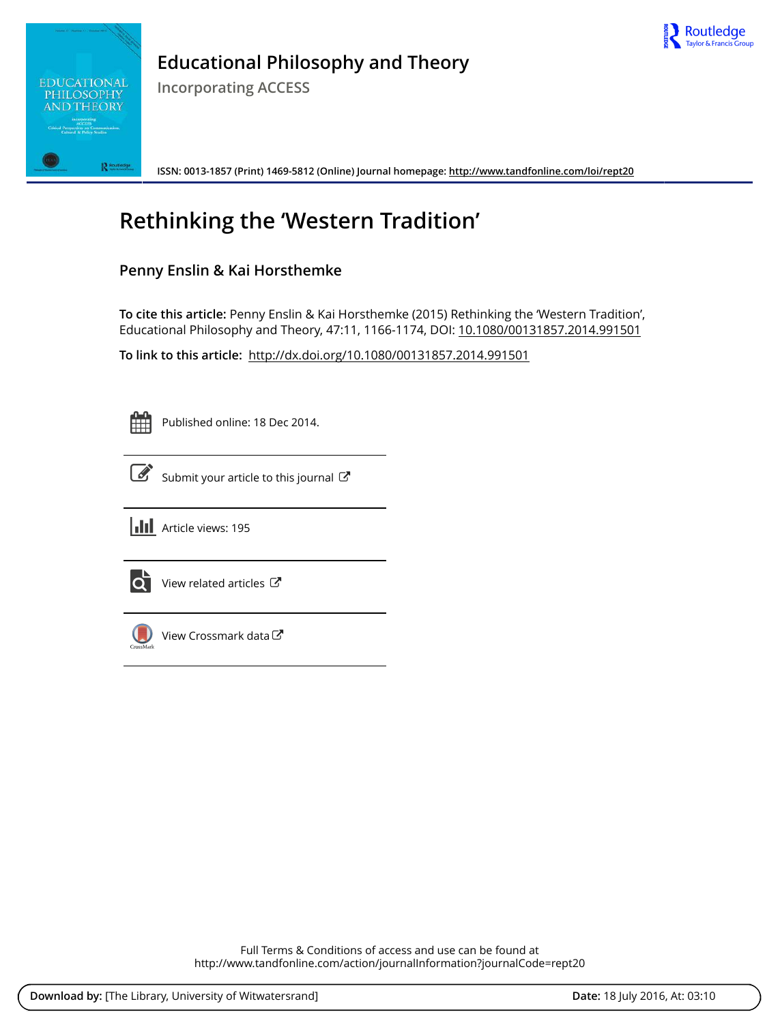



### **Educational Philosophy and Theory**

**Incorporating ACCESS**

**ISSN: 0013-1857 (Print) 1469-5812 (Online) Journal homepage:<http://www.tandfonline.com/loi/rept20>**

# **Rethinking the 'Western Tradition'**

### **Penny Enslin & Kai Horsthemke**

**To cite this article:** Penny Enslin & Kai Horsthemke (2015) Rethinking the 'Western Tradition', Educational Philosophy and Theory, 47:11, 1166-1174, DOI: [10.1080/00131857.2014.991501](http://www.tandfonline.com/action/showCitFormats?doi=10.1080/00131857.2014.991501)

**To link to this article:** <http://dx.doi.org/10.1080/00131857.2014.991501>

Published online: 18 Dec 2014.



 $\overline{\mathscr{G}}$  [Submit your article to this journal](http://www.tandfonline.com/action/authorSubmission?journalCode=rept20&page=instructions)  $\mathbb{F}$ 



**III** Article views: 195



 $\overrightarrow{O}$  [View related articles](http://www.tandfonline.com/doi/mlt/10.1080/00131857.2014.991501)  $\overrightarrow{C}$ 



[View Crossmark data](http://crossmark.crossref.org/dialog/?doi=10.1080/00131857.2014.991501&domain=pdf&date_stamp=2014-12-18) $G$ 

Full Terms & Conditions of access and use can be found at <http://www.tandfonline.com/action/journalInformation?journalCode=rept20>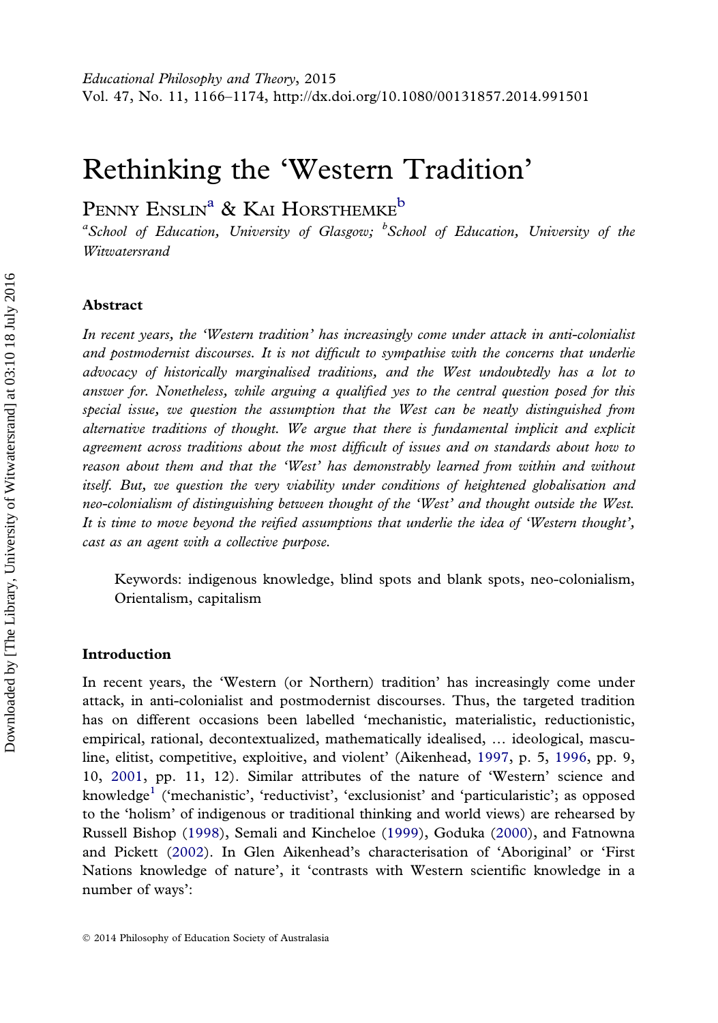## Rethinking the 'Western Tradition'

PENNY ENSLIN<sup>a</sup> & KAI HORSTHEMKE<sup>b</sup>

 $\rm ^a$ School of Education, University of Glasgow;  $\rm ^b$ School of Education, University of the Witwatersrand

#### Abstract

In recent years, the 'Western tradition' has increasingly come under attack in anti-colonialist and postmodernist discourses. It is not difficult to sympathise with the concerns that underlie advocacy of historically marginalised traditions, and the West undoubtedly has a lot to answer for. Nonetheless, while arguing a qualified yes to the central question posed for this special issue, we question the assumption that the West can be neatly distinguished from alternative traditions of thought. We argue that there is fundamental implicit and explicit agreement across traditions about the most difficult of issues and on standards about how to reason about them and that the 'West' has demonstrably learned from within and without itself. But, we question the very viability under conditions of heightened globalisation and neo-colonialism of distinguishing between thought of the 'West' and thought outside the West. It is time to move beyond the reified assumptions that underlie the idea of 'Western thought', cast as an agent with a collective purpose.

Keywords: indigenous knowledge, blind spots and blank spots, neo-colonialism, Orientalism, capitalism

#### Introduction

In recent years, the 'Western (or Northern) tradition' has increasingly come under attack, in anti-colonialist and postmodernist discourses. Thus, the targeted tradition has on different occasions been labelled 'mechanistic, materialistic, reductionistic, empirical, rational, decontextualized, mathematically idealised, … ideological, masculine, elitist, competitive, exploitive, and violent' (Aikenhead, [1997,](#page-8-0) p. 5, [1996](#page-8-0), pp. 9, 10, [2001](#page-8-0), pp. 11, 12). Similar attributes of the nature of 'Western' science and knowledge<sup>[1](#page-8-0)</sup> ('mechanistic', 'reductivist', 'exclusionist' and 'particularistic'; as opposed to the 'holism' of indigenous or traditional thinking and world views) are rehearsed by Russell Bishop ([1998\)](#page-8-0), Semali and Kincheloe ([1999\)](#page-9-0), Goduka ([2000\)](#page-9-0), and Fatnowna and Pickett [\(2002](#page-8-0)). In Glen Aikenhead's characterisation of 'Aboriginal' or 'First Nations knowledge of nature', it 'contrasts with Western scientific knowledge in a number of ways':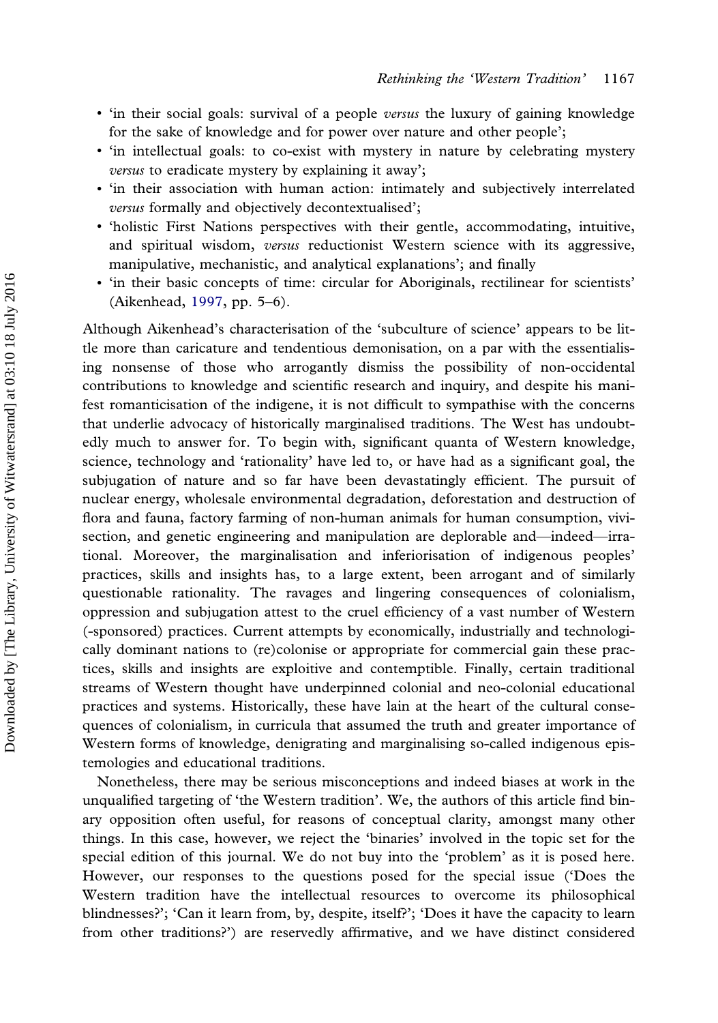- 'in their social goals: survival of a people versus the luxury of gaining knowledge for the sake of knowledge and for power over nature and other people';
- 'in intellectual goals: to co-exist with mystery in nature by celebrating mystery versus to eradicate mystery by explaining it away';
- 'in their association with human action: intimately and subjectively interrelated versus formally and objectively decontextualised';
- 'holistic First Nations perspectives with their gentle, accommodating, intuitive, and spiritual wisdom, versus reductionist Western science with its aggressive, manipulative, mechanistic, and analytical explanations'; and finally
- 'in their basic concepts of time: circular for Aboriginals, rectilinear for scientists' (Aikenhead, [1997](#page-8-0), pp. 5–6).

Although Aikenhead's characterisation of the 'subculture of science' appears to be little more than caricature and tendentious demonisation, on a par with the essentialising nonsense of those who arrogantly dismiss the possibility of non-occidental contributions to knowledge and scientific research and inquiry, and despite his manifest romanticisation of the indigene, it is not difficult to sympathise with the concerns that underlie advocacy of historically marginalised traditions. The West has undoubtedly much to answer for. To begin with, significant quanta of Western knowledge, science, technology and 'rationality' have led to, or have had as a significant goal, the subjugation of nature and so far have been devastatingly efficient. The pursuit of nuclear energy, wholesale environmental degradation, deforestation and destruction of flora and fauna, factory farming of non-human animals for human consumption, vivisection, and genetic engineering and manipulation are deplorable and—indeed—irrational. Moreover, the marginalisation and inferiorisation of indigenous peoples' practices, skills and insights has, to a large extent, been arrogant and of similarly questionable rationality. The ravages and lingering consequences of colonialism, oppression and subjugation attest to the cruel efficiency of a vast number of Western (-sponsored) practices. Current attempts by economically, industrially and technologically dominant nations to (re)colonise or appropriate for commercial gain these practices, skills and insights are exploitive and contemptible. Finally, certain traditional streams of Western thought have underpinned colonial and neo-colonial educational practices and systems. Historically, these have lain at the heart of the cultural consequences of colonialism, in curricula that assumed the truth and greater importance of Western forms of knowledge, denigrating and marginalising so-called indigenous epistemologies and educational traditions.

Nonetheless, there may be serious misconceptions and indeed biases at work in the unqualified targeting of 'the Western tradition'. We, the authors of this article find binary opposition often useful, for reasons of conceptual clarity, amongst many other things. In this case, however, we reject the 'binaries' involved in the topic set for the special edition of this journal. We do not buy into the 'problem' as it is posed here. However, our responses to the questions posed for the special issue ('Does the Western tradition have the intellectual resources to overcome its philosophical blindnesses?'; 'Can it learn from, by, despite, itself?'; 'Does it have the capacity to learn from other traditions?') are reservedly affirmative, and we have distinct considered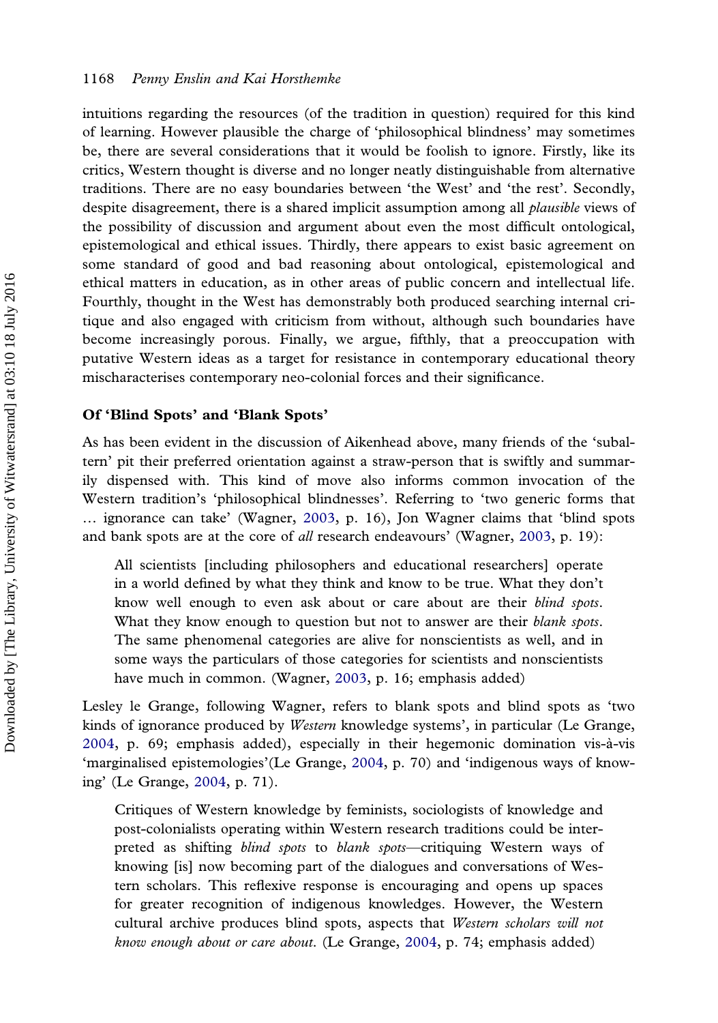intuitions regarding the resources (of the tradition in question) required for this kind of learning. However plausible the charge of 'philosophical blindness' may sometimes be, there are several considerations that it would be foolish to ignore. Firstly, like its critics, Western thought is diverse and no longer neatly distinguishable from alternative traditions. There are no easy boundaries between 'the West' and 'the rest'. Secondly, despite disagreement, there is a shared implicit assumption among all *plausible* views of the possibility of discussion and argument about even the most difficult ontological, epistemological and ethical issues. Thirdly, there appears to exist basic agreement on some standard of good and bad reasoning about ontological, epistemological and ethical matters in education, as in other areas of public concern and intellectual life. Fourthly, thought in the West has demonstrably both produced searching internal critique and also engaged with criticism from without, although such boundaries have become increasingly porous. Finally, we argue, fifthly, that a preoccupation with putative Western ideas as a target for resistance in contemporary educational theory mischaracterises contemporary neo-colonial forces and their significance.

#### Of 'Blind Spots' and 'Blank Spots'

As has been evident in the discussion of Aikenhead above, many friends of the 'subaltern' pit their preferred orientation against a straw-person that is swiftly and summarily dispensed with. This kind of move also informs common invocation of the Western tradition's 'philosophical blindnesses'. Referring to 'two generic forms that … ignorance can take' (Wagner, [2003](#page-9-0), p. 16), Jon Wagner claims that 'blind spots and bank spots are at the core of all research endeavours' (Wagner, [2003,](#page-9-0) p. 19):

All scientists [including philosophers and educational researchers] operate in a world defined by what they think and know to be true. What they don't know well enough to even ask about or care about are their blind spots. What they know enough to question but not to answer are their *blank spots*. The same phenomenal categories are alive for nonscientists as well, and in some ways the particulars of those categories for scientists and nonscientists have much in common. (Wagner, [2003](#page-9-0), p. 16; emphasis added)

Lesley le Grange, following Wagner, refers to blank spots and blind spots as 'two kinds of ignorance produced by Western knowledge systems', in particular (Le Grange, [2004,](#page-9-0) p. 69; emphasis added), especially in their hegemonic domination vis-a`-vis 'marginalised epistemologies'(Le Grange, [2004,](#page-9-0) p. 70) and 'indigenous ways of knowing' (Le Grange, [2004](#page-9-0), p. 71).

Critiques of Western knowledge by feminists, sociologists of knowledge and post-colonialists operating within Western research traditions could be interpreted as shifting *blind spots* to *blank spots*—critiquing Western ways of knowing [is] now becoming part of the dialogues and conversations of Western scholars. This reflexive response is encouraging and opens up spaces for greater recognition of indigenous knowledges. However, the Western cultural archive produces blind spots, aspects that Western scholars will not know enough about or care about. (Le Grange, [2004](#page-9-0), p. 74; emphasis added)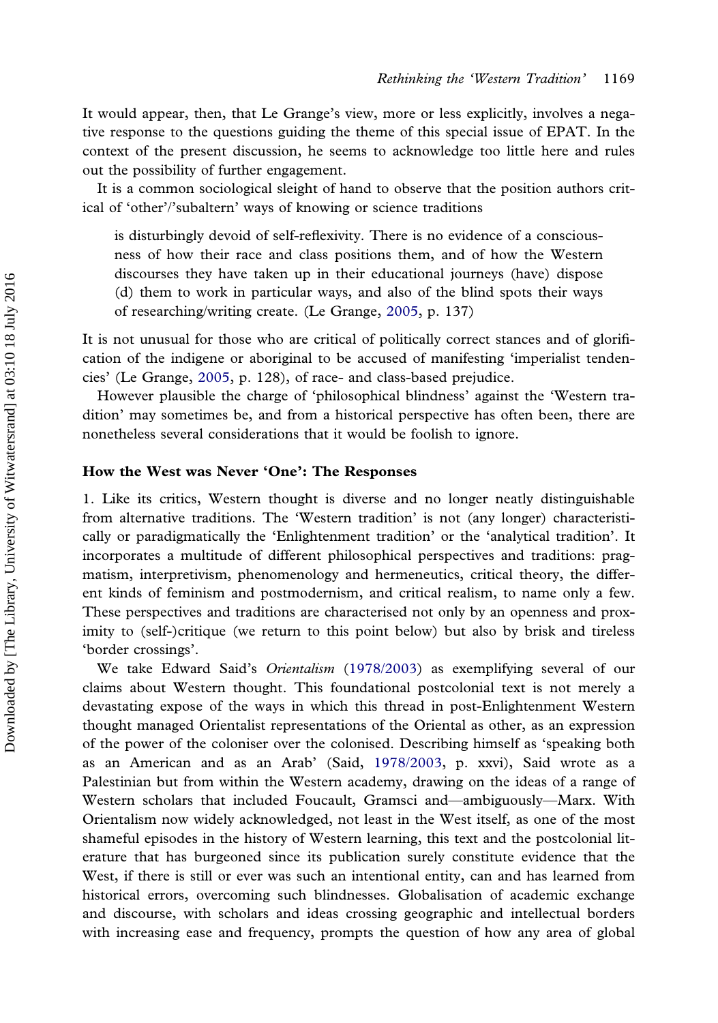It would appear, then, that Le Grange's view, more or less explicitly, involves a negative response to the questions guiding the theme of this special issue of EPAT. In the context of the present discussion, he seems to acknowledge too little here and rules out the possibility of further engagement.

It is a common sociological sleight of hand to observe that the position authors critical of 'other'/'subaltern' ways of knowing or science traditions

is disturbingly devoid of self-reflexivity. There is no evidence of a consciousness of how their race and class positions them, and of how the Western discourses they have taken up in their educational journeys (have) dispose (d) them to work in particular ways, and also of the blind spots their ways of researching/writing create. (Le Grange, [2005,](#page-9-0) p. 137)

It is not unusual for those who are critical of politically correct stances and of glorification of the indigene or aboriginal to be accused of manifesting 'imperialist tendencies' (Le Grange, [2005](#page-9-0), p. 128), of race- and class-based prejudice.

However plausible the charge of 'philosophical blindness' against the 'Western tradition' may sometimes be, and from a historical perspective has often been, there are nonetheless several considerations that it would be foolish to ignore.

#### How the West was Never 'One': The Responses

1. Like its critics, Western thought is diverse and no longer neatly distinguishable from alternative traditions. The 'Western tradition' is not (any longer) characteristically or paradigmatically the 'Enlightenment tradition' or the 'analytical tradition'. It incorporates a multitude of different philosophical perspectives and traditions: pragmatism, interpretivism, phenomenology and hermeneutics, critical theory, the different kinds of feminism and postmodernism, and critical realism, to name only a few. These perspectives and traditions are characterised not only by an openness and proximity to (self-)critique (we return to this point below) but also by brisk and tireless 'border crossings'.

We take Edward Said's Orientalism ([1978/2003\)](#page-9-0) as exemplifying several of our claims about Western thought. This foundational postcolonial text is not merely a devastating expose of the ways in which this thread in post-Enlightenment Western thought managed Orientalist representations of the Oriental as other, as an expression of the power of the coloniser over the colonised. Describing himself as 'speaking both as an American and as an Arab' (Said, [1978/2003,](#page-9-0) p. xxvi), Said wrote as a Palestinian but from within the Western academy, drawing on the ideas of a range of Western scholars that included Foucault, Gramsci and—ambiguously—Marx. With Orientalism now widely acknowledged, not least in the West itself, as one of the most shameful episodes in the history of Western learning, this text and the postcolonial literature that has burgeoned since its publication surely constitute evidence that the West, if there is still or ever was such an intentional entity, can and has learned from historical errors, overcoming such blindnesses. Globalisation of academic exchange and discourse, with scholars and ideas crossing geographic and intellectual borders with increasing ease and frequency, prompts the question of how any area of global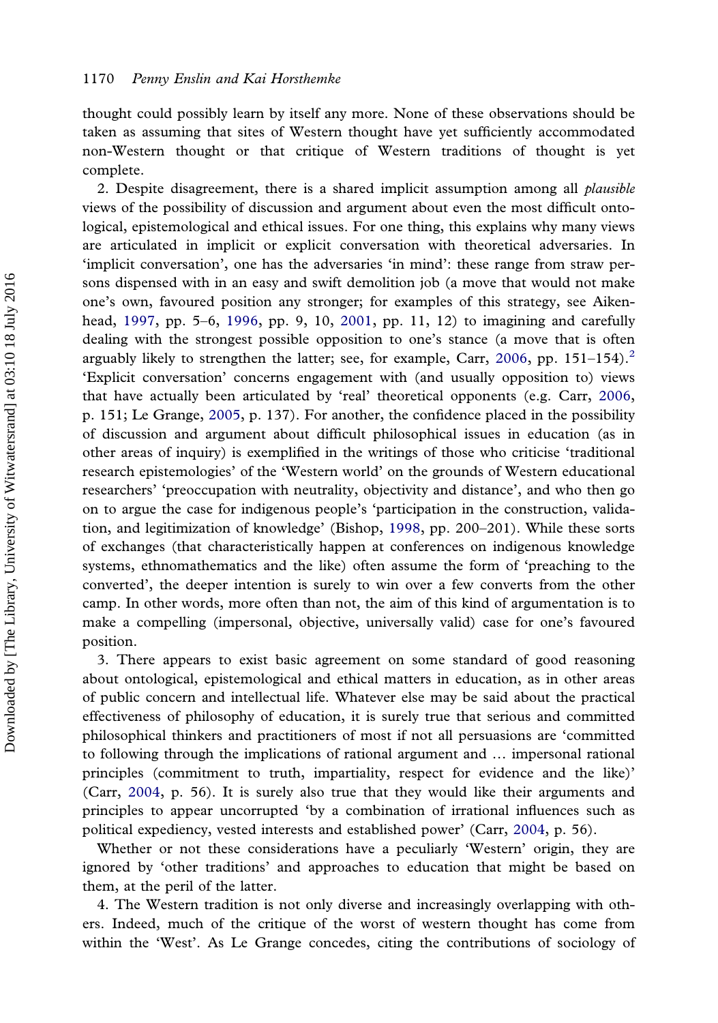thought could possibly learn by itself any more. None of these observations should be taken as assuming that sites of Western thought have yet sufficiently accommodated non-Western thought or that critique of Western traditions of thought is yet complete.

2. Despite disagreement, there is a shared implicit assumption among all *plausible* views of the possibility of discussion and argument about even the most difficult ontological, epistemological and ethical issues. For one thing, this explains why many views are articulated in implicit or explicit conversation with theoretical adversaries. In 'implicit conversation', one has the adversaries 'in mind': these range from straw persons dispensed with in an easy and swift demolition job (a move that would not make one's own, favoured position any stronger; for examples of this strategy, see Aikenhead, [1997,](#page-8-0) pp. 5–6, [1996,](#page-8-0) pp. 9, 10, [2001](#page-8-0), pp. 11, 12) to imagining and carefully dealing with the strongest possible opposition to one's stance (a move that is often arguably likely to strengthen the latter; see, for example, Carr,  $2006$  $2006$ , pp.  $151-154$ ).<sup>2</sup> 'Explicit conversation' concerns engagement with (and usually opposition to) views that have actually been articulated by 'real' theoretical opponents (e.g. Carr, [2006,](#page-8-0) p. 151; Le Grange, [2005](#page-9-0), p. 137). For another, the confidence placed in the possibility of discussion and argument about difficult philosophical issues in education (as in other areas of inquiry) is exemplified in the writings of those who criticise 'traditional research epistemologies' of the 'Western world' on the grounds of Western educational researchers' 'preoccupation with neutrality, objectivity and distance', and who then go on to argue the case for indigenous people's 'participation in the construction, validation, and legitimization of knowledge' (Bishop, [1998](#page-8-0), pp. 200–201). While these sorts of exchanges (that characteristically happen at conferences on indigenous knowledge systems, ethnomathematics and the like) often assume the form of 'preaching to the converted', the deeper intention is surely to win over a few converts from the other camp. In other words, more often than not, the aim of this kind of argumentation is to make a compelling (impersonal, objective, universally valid) case for one's favoured position.

3. There appears to exist basic agreement on some standard of good reasoning about ontological, epistemological and ethical matters in education, as in other areas of public concern and intellectual life. Whatever else may be said about the practical effectiveness of philosophy of education, it is surely true that serious and committed philosophical thinkers and practitioners of most if not all persuasions are 'committed to following through the implications of rational argument and … impersonal rational principles (commitment to truth, impartiality, respect for evidence and the like)' (Carr, [2004](#page-8-0), p. 56). It is surely also true that they would like their arguments and principles to appear uncorrupted 'by a combination of irrational influences such as political expediency, vested interests and established power' (Carr, [2004,](#page-8-0) p. 56).

Whether or not these considerations have a peculiarly 'Western' origin, they are ignored by 'other traditions' and approaches to education that might be based on them, at the peril of the latter.

4. The Western tradition is not only diverse and increasingly overlapping with others. Indeed, much of the critique of the worst of western thought has come from within the 'West'. As Le Grange concedes, citing the contributions of sociology of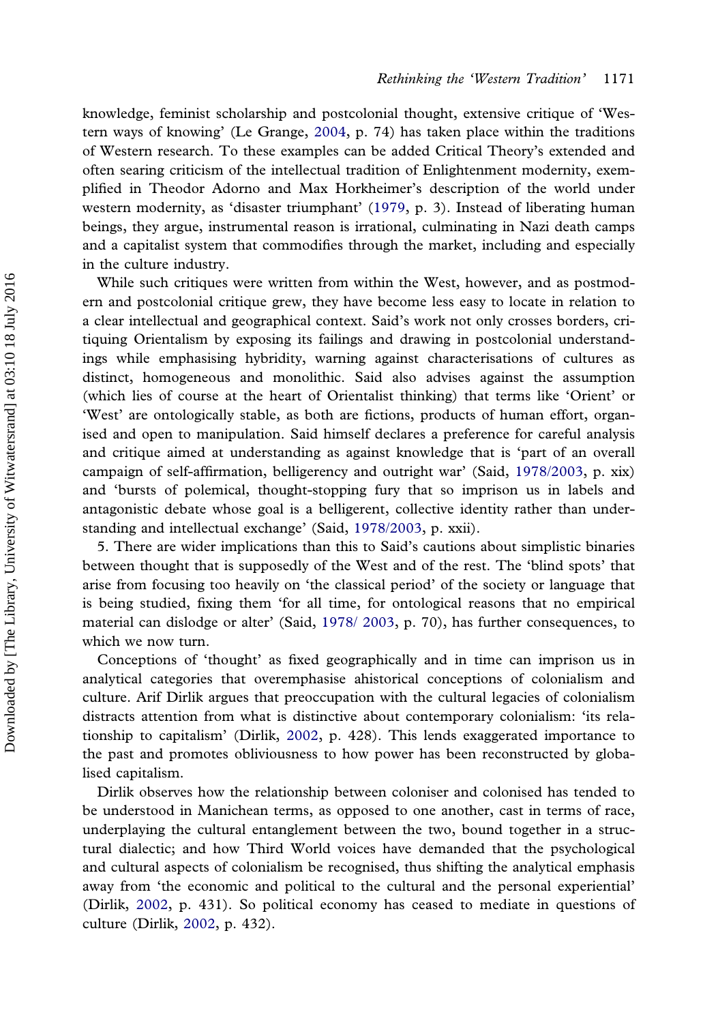knowledge, feminist scholarship and postcolonial thought, extensive critique of 'Western ways of knowing' (Le Grange, [2004,](#page-9-0) p. 74) has taken place within the traditions of Western research. To these examples can be added Critical Theory's extended and often searing criticism of the intellectual tradition of Enlightenment modernity, exemplified in Theodor Adorno and Max Horkheimer's description of the world under western modernity, as 'disaster triumphant' ([1979,](#page-8-0) p. 3). Instead of liberating human beings, they argue, instrumental reason is irrational, culminating in Nazi death camps and a capitalist system that commodifies through the market, including and especially in the culture industry.

While such critiques were written from within the West, however, and as postmodern and postcolonial critique grew, they have become less easy to locate in relation to a clear intellectual and geographical context. Said's work not only crosses borders, critiquing Orientalism by exposing its failings and drawing in postcolonial understandings while emphasising hybridity, warning against characterisations of cultures as distinct, homogeneous and monolithic. Said also advises against the assumption (which lies of course at the heart of Orientalist thinking) that terms like 'Orient' or 'West' are ontologically stable, as both are fictions, products of human effort, organised and open to manipulation. Said himself declares a preference for careful analysis and critique aimed at understanding as against knowledge that is 'part of an overall campaign of self-affirmation, belligerency and outright war' (Said, [1978/2003,](#page-9-0) p. xix) and 'bursts of polemical, thought-stopping fury that so imprison us in labels and antagonistic debate whose goal is a belligerent, collective identity rather than understanding and intellectual exchange' (Said, [1978/2003,](#page-9-0) p. xxii).

5. There are wider implications than this to Said's cautions about simplistic binaries between thought that is supposedly of the West and of the rest. The 'blind spots' that arise from focusing too heavily on 'the classical period' of the society or language that is being studied, fixing them 'for all time, for ontological reasons that no empirical material can dislodge or alter' (Said, [1978/ 2003](#page-9-0), p. 70), has further consequences, to which we now turn.

Conceptions of 'thought' as fixed geographically and in time can imprison us in analytical categories that overemphasise ahistorical conceptions of colonialism and culture. Arif Dirlik argues that preoccupation with the cultural legacies of colonialism distracts attention from what is distinctive about contemporary colonialism: 'its relationship to capitalism' (Dirlik, [2002](#page-8-0), p. 428). This lends exaggerated importance to the past and promotes obliviousness to how power has been reconstructed by globalised capitalism.

Dirlik observes how the relationship between coloniser and colonised has tended to be understood in Manichean terms, as opposed to one another, cast in terms of race, underplaying the cultural entanglement between the two, bound together in a structural dialectic; and how Third World voices have demanded that the psychological and cultural aspects of colonialism be recognised, thus shifting the analytical emphasis away from 'the economic and political to the cultural and the personal experiential' (Dirlik, [2002,](#page-8-0) p. 431). So political economy has ceased to mediate in questions of culture (Dirlik, [2002](#page-8-0), p. 432).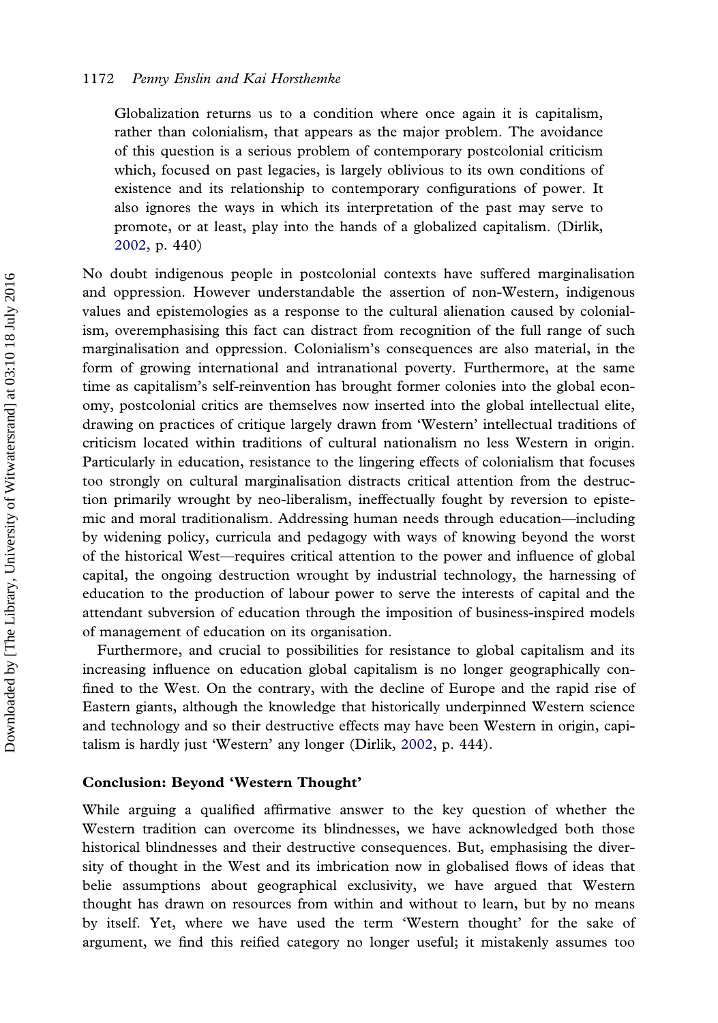#### 1172 Penny Enslin and Kai Horsthemke

Globalization returns us to a condition where once again it is capitalism, rather than colonialism, that appears as the major problem. The avoidance of this question is a serious problem of contemporary postcolonial criticism which, focused on past legacies, is largely oblivious to its own conditions of existence and its relationship to contemporary configurations of power. It also ignores the ways in which its interpretation of the past may serve to promote, or at least, play into the hands of a globalized capitalism. (Dirlik, [2002,](#page-8-0) p. 440)

No doubt indigenous people in postcolonial contexts have suffered marginalisation and oppression. However understandable the assertion of non-Western, indigenous values and epistemologies as a response to the cultural alienation caused by colonialism, overemphasising this fact can distract from recognition of the full range of such marginalisation and oppression. Colonialism's consequences are also material, in the form of growing international and intranational poverty. Furthermore, at the same time as capitalism's self-reinvention has brought former colonies into the global economy, postcolonial critics are themselves now inserted into the global intellectual elite, drawing on practices of critique largely drawn from 'Western' intellectual traditions of criticism located within traditions of cultural nationalism no less Western in origin. Particularly in education, resistance to the lingering effects of colonialism that focuses too strongly on cultural marginalisation distracts critical attention from the destruction primarily wrought by neo-liberalism, ineffectually fought by reversion to epistemic and moral traditionalism. Addressing human needs through education—including by widening policy, curricula and pedagogy with ways of knowing beyond the worst of the historical West—requires critical attention to the power and influence of global capital, the ongoing destruction wrought by industrial technology, the harnessing of education to the production of labour power to serve the interests of capital and the attendant subversion of education through the imposition of business-inspired models of management of education on its organisation.

Furthermore, and crucial to possibilities for resistance to global capitalism and its increasing influence on education global capitalism is no longer geographically confined to the West. On the contrary, with the decline of Europe and the rapid rise of Eastern giants, although the knowledge that historically underpinned Western science and technology and so their destructive effects may have been Western in origin, capitalism is hardly just 'Western' any longer (Dirlik, [2002,](#page-8-0) p. 444).

#### Conclusion: Beyond 'Western Thought'

While arguing a qualified affirmative answer to the key question of whether the Western tradition can overcome its blindnesses, we have acknowledged both those historical blindnesses and their destructive consequences. But, emphasising the diversity of thought in the West and its imbrication now in globalised flows of ideas that belie assumptions about geographical exclusivity, we have argued that Western thought has drawn on resources from within and without to learn, but by no means by itself. Yet, where we have used the term 'Western thought' for the sake of argument, we find this reified category no longer useful; it mistakenly assumes too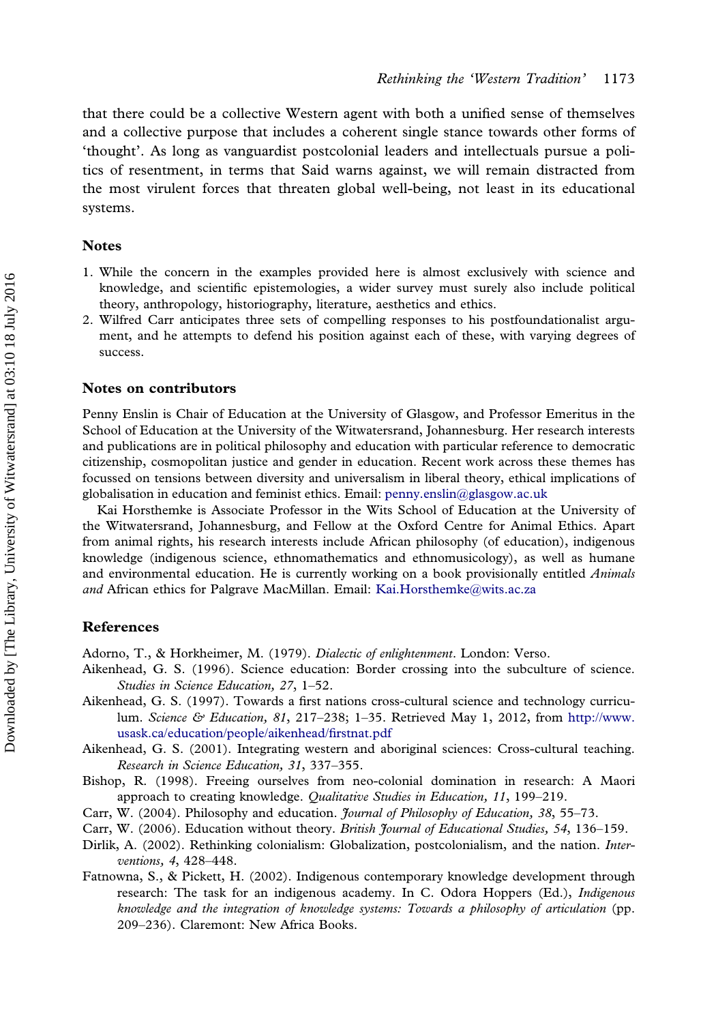<span id="page-8-0"></span>that there could be a collective Western agent with both a unified sense of themselves and a collective purpose that includes a coherent single stance towards other forms of 'thought'. As long as vanguardist postcolonial leaders and intellectuals pursue a politics of resentment, in terms that Said warns against, we will remain distracted from the most virulent forces that threaten global well-being, not least in its educational systems.

#### **Notes**

- 1. While the concern in the examples provided here is almost exclusively with science and knowledge, and scientific epistemologies, a wider survey must surely also include political theory, anthropology, historiography, literature, aesthetics and ethics.
- 2. Wilfred Carr anticipates three sets of compelling responses to his postfoundationalist argument, and he attempts to defend his position against each of these, with varying degrees of success.

#### Notes on contributors

Penny Enslin is Chair of Education at the University of Glasgow, and Professor Emeritus in the School of Education at the University of the Witwatersrand, Johannesburg. Her research interests and publications are in political philosophy and education with particular reference to democratic citizenship, cosmopolitan justice and gender in education. Recent work across these themes has focussed on tensions between diversity and universalism in liberal theory, ethical implications of globalisation in education and feminist ethics. Email: [penny.enslin@glasgow.ac.uk](mailto:penny.enslin@glasgow.ac.uk)

Kai Horsthemke is Associate Professor in the Wits School of Education at the University of the Witwatersrand, Johannesburg, and Fellow at the Oxford Centre for Animal Ethics. Apart from animal rights, his research interests include African philosophy (of education), indigenous knowledge (indigenous science, ethnomathematics and ethnomusicology), as well as humane and environmental education. He is currently working on a book provisionally entitled Animals and African ethics for Palgrave MacMillan. Email: [Kai.Horsthemke@wits.ac.za](mailto:Kai.Horsthemke@wits.ac.za)

#### References

Adorno, T., & Horkheimer, M. (1979). Dialectic of enlightenment. London: Verso.

- Aikenhead, G. S. (1996). Science education: Border crossing into the subculture of science. Studies in Science Education, 27, 1–52.
- Aikenhead, G. S. (1997). Towards a first nations cross-cultural science and technology curriculum. Science & Education, 81, 217–238; 1–35. Retrieved May 1, 2012, from [http://www.](http://www.usask.ca/education/people/aikenhead/firstnat.pdf) [usask.ca/education/people/aikenhead/firstnat.pdf](http://www.usask.ca/education/people/aikenhead/firstnat.pdf)
- Aikenhead, G. S. (2001). Integrating western and aboriginal sciences: Cross-cultural teaching. Research in Science Education, 31, 337–355.
- Bishop, R. (1998). Freeing ourselves from neo-colonial domination in research: A Maori approach to creating knowledge. Qualitative Studies in Education, 11, 199–219.
- Carr, W. (2004). Philosophy and education. Journal of Philosophy of Education, 38, 55–73.
- Carr, W. (2006). Education without theory. British Journal of Educational Studies, 54, 136-159.
- Dirlik, A. (2002). Rethinking colonialism: Globalization, postcolonialism, and the nation. *Inter*ventions, 4, 428–448.
- Fatnowna, S., & Pickett, H. (2002). Indigenous contemporary knowledge development through research: The task for an indigenous academy. In C. Odora Hoppers (Ed.), *Indigenous* knowledge and the integration of knowledge systems: Towards a philosophy of articulation (pp. 209–236). Claremont: New Africa Books.